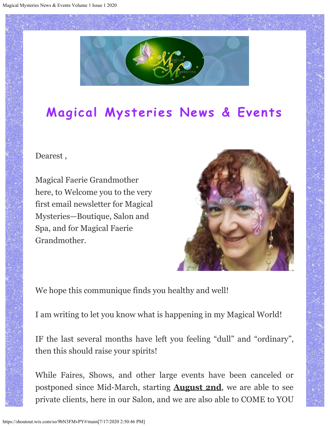

## **Magical Mysteries News & Events**

## Dearest ,

Magical Faerie Grandmother here, to Welcome you to the very first email newsletter for Magical Mysteries—Boutique, Salon and Spa, and for Magical Faerie Grandmother.



We hope this communique finds you healthy and well!

I am writing to let you know what is happening in my Magical World!

IF the last several months have left you feeling "dull" and "ordinary", then this should raise your spirits!

While Faires, Shows, and other large events have been canceled or postponed since Mid-March, starting **August 2nd**, we are able to see private clients, here in our Salon, and we are also able to COME to YOU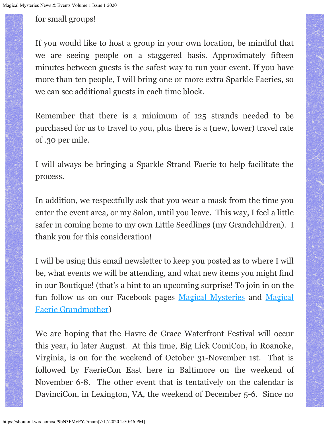for small groups!

If you would like to host a group in your own location, be mindful that we are seeing people on a staggered basis. Approximately fifteen minutes between guests is the safest way to run your event. If you have more than ten people, I will bring one or more extra Sparkle Faeries, so we can see additional guests in each time block.

Remember that there is a minimum of 125 strands needed to be purchased for us to travel to you, plus there is a (new, lower) travel rate of .30 per mile.

I will always be bringing a Sparkle Strand Faerie to help facilitate the process.

In addition, we respectfully ask that you wear a mask from the time you enter the event area, or my Salon, until you leave. This way, I feel a little safer in coming home to my own Little Seedlings (my Grandchildren). I thank you for this consideration!

I will be using this email newsletter to keep you posted as to where I will be, what events we will be attending, and what new items you might find in our Boutique! (that's a hint to an upcoming surprise! To join in on the fun follow us on our Facebook pages [Magical Mysteries](https://shoutout.wix.com/so/9bN3FMvPY/c?w=v-HWY7gwXAOAwkwFZQ5cjCXl_h31jxdGrvLkvzEyrsw.eyJ1IjoiaHR0cHM6Ly93d3cuZmFjZWJvb2suY29tL21hZ2ljYWxteXN0ZXJpZXNib3V0aXF1ZS8iLCJyIjoiZTg4MGU4YjYtM2EyNS00ODQ2LTQ1YTQtNjRmNDQ2MGUwMjg0IiwibSI6ImxwIn0) and [Magical](https://shoutout.wix.com/so/9bN3FMvPY/c?w=_0dPhcEt1kauwOLpwz4L57G6sdRnWFiZpQmF9DEHFf0.eyJ1IjoiaHR0cHM6Ly93d3cuZmFjZWJvb2suY29tL0ZhZXJpZUdyYW5kbW90aGVyLyIsInIiOiJlODgwZThiNi0zYTI1LTQ4NDYtNDVhNC02NGY0NDYwZTAyODQiLCJtIjoibHAifQ) [Faerie Grandmother\)](https://shoutout.wix.com/so/9bN3FMvPY/c?w=_0dPhcEt1kauwOLpwz4L57G6sdRnWFiZpQmF9DEHFf0.eyJ1IjoiaHR0cHM6Ly93d3cuZmFjZWJvb2suY29tL0ZhZXJpZUdyYW5kbW90aGVyLyIsInIiOiJlODgwZThiNi0zYTI1LTQ4NDYtNDVhNC02NGY0NDYwZTAyODQiLCJtIjoibHAifQ)

We are hoping that the Havre de Grace Waterfront Festival will occur this year, in later August. At this time, Big Lick ComiCon, in Roanoke, Virginia, is on for the weekend of October 31-November 1st. That is followed by FaerieCon East here in Baltimore on the weekend of November 6-8. The other event that is tentatively on the calendar is DavinciCon, in Lexington, VA, the weekend of December 5-6. Since no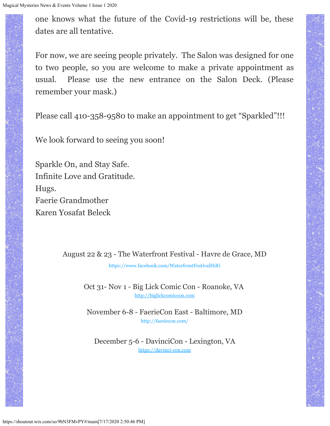one knows what the future of the Covid-19 restrictions will be, these dates are all tentative.

For now, we are seeing people privately. The Salon was designed for one to two people, so you are welcome to make a private appointment as usual. Please use the new entrance on the Salon Deck. (Please remember your mask.)

Please call 410-358-9580 to make an appointment to get "Sparkled"!!!

We look forward to seeing you soon!

Sparkle On, and Stay Safe. Infinite Love and Gratitude. Hugs. Faerie Grandmother Karen Yosafat Beleck

August 22 & 23 - The Waterfront Festival - Havre de Grace, MD

[https://www.facebook.com/WaterfrontFestivalHdG](https://shoutout.wix.com/so/9bN3FMvPY/c?w=l8v2IgBDsz63nFx1_-pCcxGpi9TuTz-T9wou9tjbEYM.eyJ1IjoiaHR0cHM6Ly93d3cuZmFjZWJvb2suY29tL1dhdGVyZnJvbnRGZXN0aXZhbEhkRyIsInIiOiIxMTc0YmUwMy00OTE1LTRlZjItM2E4Zi0xNzBkNjg1OGYyMDMiLCJtIjoibHAifQ)

Oct 31- Nov 1 - Big Lick Comic Con - Roanoke, VA [http://biglickcomiccon.com](https://shoutout.wix.com/so/9bN3FMvPY/c?w=XGvspmvh2fvfasSgu1H3YVrDN6TN6k5WK4WrmxO_CO0.eyJ1IjoiaHR0cDovL2JpZ2xpY2tjb21pY2Nvbi5jb20iLCJyIjoiMTE3NGJlMDMtNDkxNS00ZWYyLTNhOGYtMTcwZDY4NThmMjAzIiwibSI6ImxwIn0)

November 6-8 - FaerieCon East - Baltimore, MD [http://faeriecon.com/](https://shoutout.wix.com/so/9bN3FMvPY/c?w=W3cLO24Kfu1ruDBOyecjs1ovC-w-YLsWP785BzvCdkU.eyJ1IjoiaHR0cDovL2ZhZXJpZWNvbi5jb20vIiwiciI6IjExNzRiZTAzLTQ5MTUtNGVmMi0zYThmLTE3MGQ2ODU4ZjIwMyIsIm0iOiJscCJ9)

December 5-6 - DavinciCon - Lexington, VA [https://davinci-con.com](https://shoutout.wix.com/so/9bN3FMvPY/c?w=BK1l6JgoZ82zy4IfVhkY0sKSQUJrDy6g3KkHzQQoiws.eyJ1IjoiaHR0cHM6Ly9kYXZpbmNpLWNvbi5jb20iLCJyIjoiMTE3NGJlMDMtNDkxNS00ZWYyLTNhOGYtMTcwZDY4NThmMjAzIiwibSI6ImxwIn0)